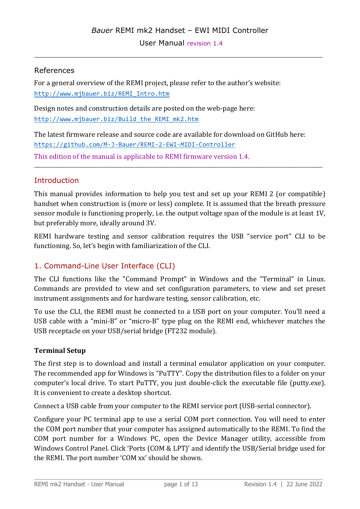\_\_\_\_\_\_\_\_\_\_\_\_\_\_\_\_\_\_\_\_\_\_\_\_\_\_\_\_\_\_\_\_\_\_\_\_\_\_\_\_\_\_\_\_\_\_\_\_\_\_\_\_\_\_\_\_\_\_\_\_\_\_\_\_\_\_\_\_\_\_\_\_\_\_\_

# References

For a general overview of the REMI project, please refer to the author's website: http://www.mjbauer.biz/REMI\_Intro.htm

Design notes and construction details are posted on the web-page here: [http://www.mjbauer.biz/Build\\_the\\_REMI\\_mk2.htm](http://www.mjbauer.biz/Build_the_REMI_mk2.htm)

The latest firmware release and source code are available for download on GitHub here: https://github.com/M-J-Bauer/REMI-2-EWI-MIDI-Controller This edition of the manual is applicable to REMI firmware version 1.4.

# **Introduction**

This manual provides information to help you test and set up your REMI 2 (or compatible) handset when construction is (more or less) complete. It is assumed that the breath pressure sensor module is functioning properly, i.e. the output voltage span of the module is at least 1V, but preferably more, ideally around 3V.

\_\_\_\_\_\_\_\_\_\_\_\_\_\_\_\_\_\_\_\_\_\_\_\_\_\_\_\_\_\_\_\_\_\_\_\_\_\_\_\_\_\_\_\_\_\_\_\_\_\_\_\_\_\_\_\_\_\_\_\_\_\_\_\_\_\_\_\_\_\_\_\_\_\_\_

REMI hardware testing and sensor calibration requires the USB "service port" CLI to be functioning. So, let's begin with familiarization of the CLI.

# 1. Command-Line User Interface (CLI)

The CLI functions like the "Command Prompt" in Windows and the "Terminal" in Linux. Commands are provided to view and set configuration parameters, to view and set preset instrument assignments and for hardware testing, sensor calibration, etc.

To use the CLI, the REMI must be connected to a USB port on your computer. You'll need a USB cable with a "mini-B" or "micro-B" type plug on the REMI end, whichever matches the USB receptacle on your USB/serial bridge (FT232 module).

# **Terminal Setup**

The first step is to download and install a terminal emulator application on your computer. The recommended app for Windows is "PuTTY". Copy the distribution files to a folder on your computer's local drive. To start PuTTY, you just double-click the executable file (putty.exe). It is convenient to create a desktop shortcut.

Connect a USB cable from your computer to the REMI service port (USB-serial connector).

Configure your PC terminal app to use a serial COM port connection. You will need to enter the COM port number that your computer has assigned automatically to the REMI. To find the COM port number for a Windows PC, open the Device Manager utility, accessible from Windows Control Panel. Click 'Ports (COM & LPT)' and identify the USB/Serial bridge used for the REMI. The port number 'COM xx' should be shown.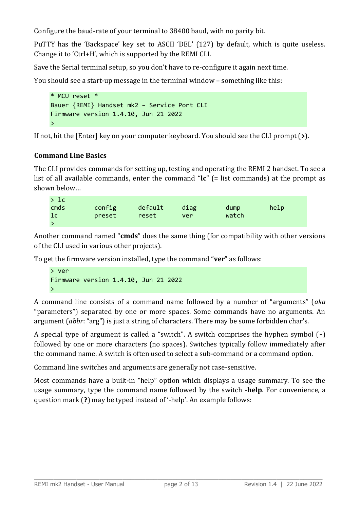Configure the baud-rate of your terminal to 38400 baud, with no parity bit.

PuTTY has the 'Backspace' key set to ASCII 'DEL' (127) by default, which is quite useless. Change it to 'Ctrl+H', which is supported by the REMI CLI.

Save the Serial terminal setup, so you don't have to re-configure it again next time.

You should see a start-up message in the terminal window – something like this:

```
* MCU reset *
Bauer {REMI} Handset mk2 – Service Port CLI
Firmware version 1.4.10, Jun 21 2022
\rightarrow
```
If not, hit the [Enter] key on your computer keyboard. You should see the CLI prompt (**>**).

# **Command Line Basics**

The CLI provides commands for setting up, testing and operating the REMI 2 handset. To see a list of all available commands, enter the command "**lc**" (= list commands) at the prompt as shown below…

| >1c  |        |         |      |       |      |
|------|--------|---------|------|-------|------|
| cmds | config | default | diag | dump  | help |
| 1c   | preset | reset   | ver  | watch |      |
|      |        |         |      |       |      |

Another command named "**cmds**" does the same thing (for compatibility with other versions of the CLI used in various other projects).

To get the firmware version installed, type the command "**ver**" as follows:

```
> ver
Firmware version 1.4.10, Jun 21 2022
\rightarrow
```
A command line consists of a command name followed by a number of "arguments" (*aka* "parameters") separated by one or more spaces. Some commands have no arguments. An argument (*abbr*: "arg") is just a string of characters. There may be some forbidden char's.

A special type of argument is called a "switch". A switch comprises the hyphen symbol (**-**) followed by one or more characters (no spaces). Switches typically follow immediately after the command name. A switch is often used to select a sub-command or a command option.

Command line switches and arguments are generally not case-sensitive.

Most commands have a built-in "help" option which displays a usage summary. To see the usage summary, type the command name followed by the switch **-help**. For convenience, a question mark (**?**) may be typed instead of '-help'. An example follows: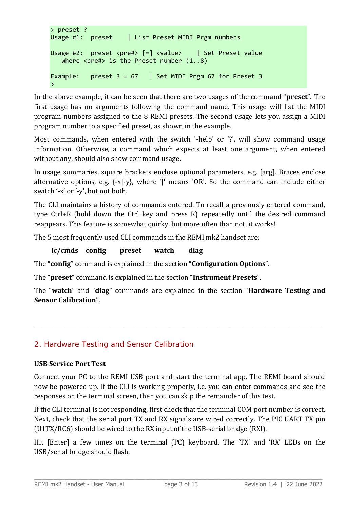```
> preset ?
Usage #1: preset | List Preset MIDI Prgm numbers
Usage #2: preset <pre#> \lceil = \rceil <value> | Set Preset value
   where \langle pre\# \rangle is the Preset number (1..8)Example: preset 3 = 67 | Set MIDI Prgm 67 for Preset 3
>
```
In the above example, it can be seen that there are two usages of the command "**preset**". The first usage has no arguments following the command name. This usage will list the MIDI program numbers assigned to the 8 REMI presets. The second usage lets you assign a MIDI program number to a specified preset, as shown in the example.

Most commands, when entered with the switch '-help' or '?', will show command usage information. Otherwise, a command which expects at least one argument, when entered without any, should also show command usage.

In usage summaries, square brackets enclose optional parameters, e.g. [arg]. Braces enclose alternative options, e.g.  $\{-x\}$ , where '|' means 'OR'. So the command can include either switch '-x' or '-y', but not both.

The CLI maintains a history of commands entered. To recall a previously entered command, type Ctrl+R (hold down the Ctrl key and press R) repeatedly until the desired command reappears. This feature is somewhat quirky, but more often than not, it works!

The 5 most frequently used CLI commands in the REMI mk2 handset are:

# **lc/cmds config preset watch diag**

The "**config**" command is explained in the section "**Configuration Options**".

The "**preset**" command is explained in the section "**Instrument Presets**".

The "**watch**" and "**diag**" commands are explained in the section "**Hardware Testing and Sensor Calibration**".

\_\_\_\_\_\_\_\_\_\_\_\_\_\_\_\_\_\_\_\_\_\_\_\_\_\_\_\_\_\_\_\_\_\_\_\_\_\_\_\_\_\_\_\_\_\_\_\_\_\_\_\_\_\_\_\_\_\_\_\_\_\_\_\_\_\_\_\_\_\_\_\_\_\_\_

# 2. Hardware Testing and Sensor Calibration

#### **USB Service Port Test**

Connect your PC to the REMI USB port and start the terminal app. The REMI board should now be powered up. If the CLI is working properly, i.e. you can enter commands and see the responses on the terminal screen, then you can skip the remainder of this test.

If the CLI terminal is not responding, first check that the terminal COM port number is correct. Next, check that the serial port TX and RX signals are wired correctly. The PIC UART TX pin (U1TX/RC6) should be wired to the RX input of the USB-serial bridge (RXI).

Hit [Enter] a few times on the terminal (PC) keyboard. The 'TX' and 'RX' LEDs on the USB/serial bridge should flash.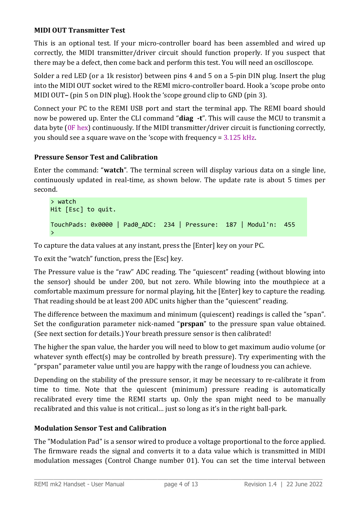# **MIDI OUT Transmitter Test**

This is an optional test. If your micro-controller board has been assembled and wired up correctly, the MIDI transmitter/driver circuit should function properly. If you suspect that there may be a defect, then come back and perform this test. You will need an oscilloscope.

Solder a red LED (or a 1k resistor) between pins 4 and 5 on a 5-pin DIN plug. Insert the plug into the MIDI OUT socket wired to the REMI micro-controller board. Hook a 'scope probe onto MIDI OUT**–** (pin 5 on DIN plug). Hook the 'scope ground clip to GND (pin 3).

Connect your PC to the REMI USB port and start the terminal app. The REMI board should now be powered up. Enter the CLI command "**diag -t**". This will cause the MCU to transmit a data byte (0F hex) continuously. If the MIDI transmitter/driver circuit is functioning correctly, you should see a square wave on the 'scope with frequency = 3.125 kHz.

# **Pressure Sensor Test and Calibration**

Enter the command: "**watch**". The terminal screen will display various data on a single line, continuously updated in real-time, as shown below. The update rate is about 5 times per second.

```
> watch
Hit [Esc] to quit.
TouchPads: 0x0000 | Pad0_ADC: 234 | Pressure: 187 | Modul'n: 455 
>
```
To capture the data values at any instant, press the [Enter] key on your PC.

To exit the "watch" function, press the [Esc] key.

The Pressure value is the "raw" ADC reading. The "quiescent" reading (without blowing into the sensor) should be under 200, but not zero. While blowing into the mouthpiece at a comfortable maximum pressure for normal playing, hit the [Enter] key to capture the reading. That reading should be at least 200 ADC units higher than the "quiescent" reading.

The difference between the maximum and minimum (quiescent) readings is called the "span". Set the configuration parameter nick-named "**prspan**" to the pressure span value obtained. (See next section for details.) Your breath pressure sensor is then calibrated!

The higher the span value, the harder you will need to blow to get maximum audio volume (or whatever synth effect(s) may be controlled by breath pressure). Try experimenting with the "prspan" parameter value until you are happy with the range of loudness you can achieve.

Depending on the stability of the pressure sensor, it may be necessary to re-calibrate it from time to time. Note that the quiescent (minimum) pressure reading is automatically recalibrated every time the REMI starts up. Only the span might need to be manually recalibrated and this value is not critical… just so long as it's in the right ball-park.

# **Modulation Sensor Test and Calibration**

The "Modulation Pad" is a sensor wired to produce a voltage proportional to the force applied. The firmware reads the signal and converts it to a data value which is transmitted in MIDI modulation messages (Control Change number 01). You can set the time interval between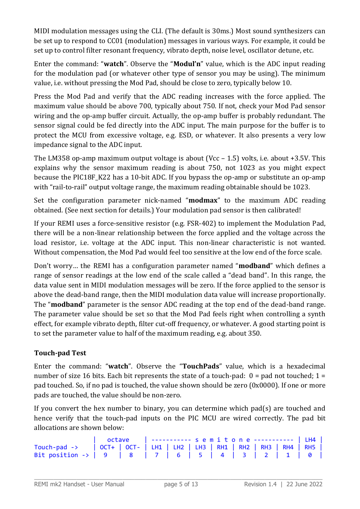MIDI modulation messages using the CLI. (The default is 30ms.) Most sound synthesizers can be set up to respond to CC01 (modulation) messages in various ways. For example, it could be set up to control filter resonant frequency, vibrato depth, noise level, oscillator detune, etc.

Enter the command: "**watch**". Observe the "**Modul'n**" value, which is the ADC input reading for the modulation pad (or whatever other type of sensor you may be using). The minimum value, i.e. without pressing the Mod Pad, should be close to zero, typically below 10.

Press the Mod Pad and verify that the ADC reading increases with the force applied. The maximum value should be above 700, typically about 750. If not, check your Mod Pad sensor wiring and the op-amp buffer circuit. Actually, the op-amp buffer is probably redundant. The sensor signal could be fed directly into the ADC input. The main purpose for the buffer is to protect the MCU from excessive voltage, e.g. ESD, or whatever. It also presents a very low impedance signal to the ADC input.

The LM358 op-amp maximum output voltage is about (Vcc  $-1.5$ ) volts, i.e. about +3.5V. This explains why the sensor maximum reading is about 750, not 1023 as you might expect because the PIC18F K22 has a 10-bit ADC. If you bypass the op-amp or substitute an op-amp with "rail-to-rail" output voltage range, the maximum reading obtainable should be 1023.

Set the configuration parameter nick-named "**modmax**" to the maximum ADC reading obtained. (See next section for details.) Your modulation pad sensor is then calibrated!

If your REMI uses a force-sensitive resistor (e.g. FSR-402) to implement the Modulation Pad, there will be a non-linear relationship between the force applied and the voltage across the load resistor, i.e. voltage at the ADC input. This non-linear characteristic is not wanted. Without compensation, the Mod Pad would feel too sensitive at the low end of the force scale.

Don't worry… the REMI has a configuration parameter named "**modband**" which defines a range of sensor readings at the low end of the scale called a "dead band". In this range, the data value sent in MIDI modulation messages will be zero. If the force applied to the sensor is above the dead-band range, then the MIDI modulation data value will increase proportionally. The "**modband**" parameter is the sensor ADC reading at the top end of the dead-band range. The parameter value should be set so that the Mod Pad feels right when controlling a synth effect, for example vibrato depth, filter cut-off frequency, or whatever. A good starting point is to set the parameter value to half of the maximum reading, e.g. about 350.

# **Touch-pad Test**

Enter the command: "**watch**". Observe the "**TouchPads**" value, which is a hexadecimal number of size 16 bits. Each bit represents the state of a touch-pad:  $0 =$  pad not touched;  $1 =$ pad touched. So, if no pad is touched, the value shown should be zero (0x0000). If one or more pads are touched, the value should be non-zero.

If you convert the hex number to binary, you can determine which pad(s) are touched and hence verify that the touch-pad inputs on the PIC MCU are wired correctly. The pad bit allocations are shown below:

|  |  | octave   ---------- semitone ----------   LH4 |  |  |  |  |  |  |  |
|--|--|-----------------------------------------------|--|--|--|--|--|--|--|
|  |  |                                               |  |  |  |  |  |  |  |
|  |  |                                               |  |  |  |  |  |  |  |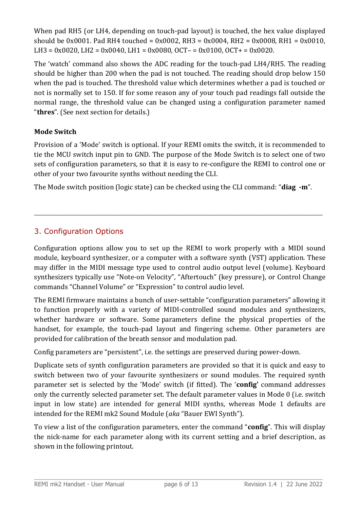When pad RH5 (or LH4, depending on touch-pad layout) is touched, the hex value displayed should be 0x0001. Pad RH4 touched = 0x0002, RH3 = 0x0004, RH2 = 0x0008, RH1 = 0x0010, LH3 = 0x0020, LH2 = 0x0040, LH1 = 0x0080, OCT- = 0x0100, OCT+ = 0x0020.

The 'watch' command also shows the ADC reading for the touch-pad LH4/RH5. The reading should be higher than 200 when the pad is not touched. The reading should drop below 150 when the pad is touched. The threshold value which determines whether a pad is touched or not is normally set to 150. If for some reason any of your touch pad readings fall outside the normal range, the threshold value can be changed using a configuration parameter named "**thres**". (See next section for details.)

# **Mode Switch**

Provision of a 'Mode' switch is optional. If your REMI omits the switch, it is recommended to tie the MCU switch input pin to GND. The purpose of the Mode Switch is to select one of two sets of configuration parameters, so that it is easy to re-configure the REMI to control one or other of your two favourite synths without needing the CLI.

The Mode switch position (logic state) can be checked using the CLI command: "**diag -m**".

\_\_\_\_\_\_\_\_\_\_\_\_\_\_\_\_\_\_\_\_\_\_\_\_\_\_\_\_\_\_\_\_\_\_\_\_\_\_\_\_\_\_\_\_\_\_\_\_\_\_\_\_\_\_\_\_\_\_\_\_\_\_\_\_\_\_\_\_\_\_\_\_\_\_\_

# 3. Configuration Options

Configuration options allow you to set up the REMI to work properly with a MIDI sound module, keyboard synthesizer, or a computer with a software synth (VST) application. These may differ in the MIDI message type used to control audio output level (volume). Keyboard synthesizers typically use "Note-on Velocity", "Aftertouch" (key pressure), or Control Change commands "Channel Volume" or "Expression" to control audio level.

The REMI firmware maintains a bunch of user-settable "configuration parameters" allowing it to function properly with a variety of MIDI-controlled sound modules and synthesizers, whether hardware or software. Some parameters define the physical properties of the handset, for example, the touch-pad layout and fingering scheme. Other parameters are provided for calibration of the breath sensor and modulation pad.

Config parameters are "persistent", i.e. the settings are preserved during power-down.

Duplicate sets of synth configuration parameters are provided so that it is quick and easy to switch between two of your favourite synthesizers or sound modules. The required synth parameter set is selected by the 'Mode' switch (if fitted). The '**config'** command addresses only the currently selected parameter set. The default parameter values in Mode 0 (i.e. switch input in low state) are intended for general MIDI synths, whereas Mode 1 defaults are intended for the REMI mk2 Sound Module (*aka* "Bauer EWI Synth").

To view a list of the configuration parameters, enter the command "**config**". This will display the nick-name for each parameter along with its current setting and a brief description, as shown in the following printout.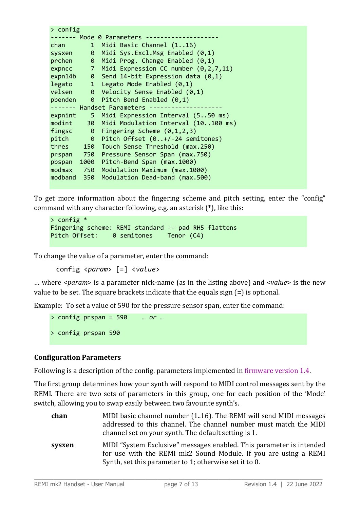```
> config
------- Mode 0 Parameters --------------------
chan 1 Midi Basic Channel (1..16)
sysxen 0 Midi Sys.Excl.Msg Enabled (0,1)
prchen 0 Midi Prog. Change Enabled (0,1)
expncc 7 Midi Expression CC number (0,2,7,11)
expn14b 0 Send 14-bit Expression data (0,1)
legato 1 Legato Mode Enabled (0,1)
velsen 0 Velocity Sense Enabled (0,1)
pbenden 0 Pitch Bend Enabled (0,1)
------- Handset Parameters -----
expnint 5 Midi Expression Interval (5..50 ms)
modint 30 Midi Modulation Interval (10..100 ms)
fingsc 0 Fingering Scheme (0,1,2,3)<br>pitch 0 Pitch Offset (0..+/-24 semitones)
pitch 0 Pitch Offset (0..+/-24 semitones)
thres 150 Touch Sense Threshold (max.250)
prspan 750 Pressure Sensor Span (max.750)
pbspan 1000 Pitch-Bend Span (max.1000)
modmax 750 Modulation Maximum (max.1000)
modband 350 Modulation Dead-band (max.500)
```
To get more information about the fingering scheme and pitch setting, enter the "config" command with any character following, e.g. an asterisk (\*), like this:

```
> config *
Fingering scheme: REMI standard -- pad RH5 flattens
Pitch Offset: 0 semitones Tenor (C4)
```
To change the value of a parameter, enter the command:

config <*param*> [=] <*value*>

… where <*param*> is a parameter nick-name (as in the listing above) and <*value*> is the new value to be set. The square brackets indicate that the equals sign (**=**) is optional.

Example: To set a value of 590 for the pressure sensor span, enter the command:

> config prspan = 590 … *or …* > config prspan 590

# **Configuration Parameters**

Following is a description of the config. parameters implemented in firmware version 1.4.

The first group determines how your synth will respond to MIDI control messages sent by the REMI. There are two sets of parameters in this group, one for each position of the 'Mode' switch, allowing you to swap easily between two favourite synth's.

| chan   | MIDI basic channel number (116). The REMI will send MIDI messages<br>addressed to this channel. The channel number must match the MIDI<br>channel set on your synth. The default setting is 1.    |
|--------|---------------------------------------------------------------------------------------------------------------------------------------------------------------------------------------------------|
| sysxen | MIDI "System Exclusive" messages enabled. This parameter is intended<br>for use with the REMI mk2 Sound Module. If you are using a REMI<br>Synth, set this parameter to 1; otherwise set it to 0. |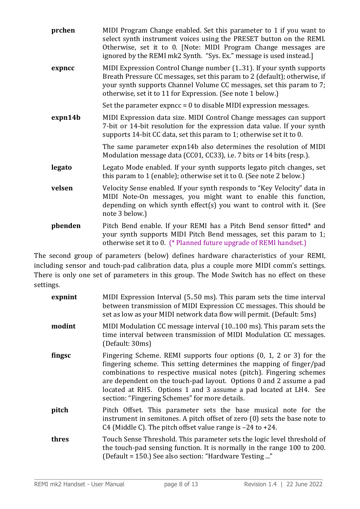| prchen  | MIDI Program Change enabled. Set this parameter to 1 if you want to<br>select synth instrument voices using the PRESET button on the REMI.<br>Otherwise, set it to 0. [Note: MIDI Program Change messages are<br>ignored by the REMI mk2 Synth. "Sys. Ex." message is used instead.]    |
|---------|-----------------------------------------------------------------------------------------------------------------------------------------------------------------------------------------------------------------------------------------------------------------------------------------|
| expncc  | MIDI Expression Control Change number (131). If your synth supports<br>Breath Pressure CC messages, set this param to 2 (default); otherwise, if<br>your synth supports Channel Volume CC messages, set this param to 7;<br>otherwise, set it to 11 for Expression. (See note 1 below.) |
|         | Set the parameter expncc $= 0$ to disable MIDI expression messages.                                                                                                                                                                                                                     |
| expn14b | MIDI Expression data size. MIDI Control Change messages can support<br>7-bit or 14-bit resolution for the expression data value. If your synth<br>supports 14-bit CC data, set this param to 1; otherwise set it to 0.                                                                  |
|         | The same parameter expn14b also determines the resolution of MIDI<br>Modulation message data (CC01, CC33), i.e. 7 bits or 14 bits (resp.).                                                                                                                                              |
| legato  | Legato Mode enabled. If your synth supports legato pitch changes, set<br>this param to 1 (enable); otherwise set it to 0. (See note 2 below.)                                                                                                                                           |
| velsen  | Velocity Sense enabled. If your synth responds to "Key Velocity" data in<br>MIDI Note-On messages, you might want to enable this function,<br>depending on which synth effect(s) you want to control with it. (See<br>note 3 below.)                                                    |
| pbenden | Pitch Bend enable. If your REMI has a Pitch Bend sensor fitted* and<br>your synth supports MIDI Pitch Bend messages, set this param to 1;<br>otherwise set it to 0. (* Planned future upgrade of REMI handset.)                                                                         |

The second group of parameters (below) defines hardware characteristics of your REMI, including sensor and touch-pad calibration data, plus a couple more MIDI comm's settings. There is only one set of parameters in this group. The Mode Switch has no effect on these settings.

| expnint | MIDI Expression Interval (5.50 ms). This param sets the time interval<br>between transmission of MIDI Expression CC messages. This should be<br>set as low as your MIDI network data flow will permit. (Default: 5ms)                                                                                                                                                                                          |
|---------|----------------------------------------------------------------------------------------------------------------------------------------------------------------------------------------------------------------------------------------------------------------------------------------------------------------------------------------------------------------------------------------------------------------|
| modint  | MIDI Modulation CC message interval (10.100 ms). This param sets the<br>time interval between transmission of MIDI Modulation CC messages.<br>(Default: 30ms)                                                                                                                                                                                                                                                  |
| fingsc  | Fingering Scheme. REMI supports four options (0, 1, 2 or 3) for the<br>fingering scheme. This setting determines the mapping of finger/pad<br>combinations to respective musical notes (pitch). Fingering schemes<br>are dependent on the touch-pad layout. Options 0 and 2 assume a pad<br>located at RH5. Options 1 and 3 assume a pad located at LH4. See<br>section: "Fingering Schemes" for more details. |
| pitch   | Pitch Offset. This parameter sets the base musical note for the<br>instrument in semitones. A pitch offset of zero (0) sets the base note to<br>C4 (Middle C). The pitch offset value range is $-24$ to $+24$ .                                                                                                                                                                                                |
| thres   | Touch Sense Threshold. This parameter sets the logic level threshold of<br>the touch-pad sensing function. It is normally in the range 100 to 200.<br>(Default = 150.) See also section: "Hardware Testing "                                                                                                                                                                                                   |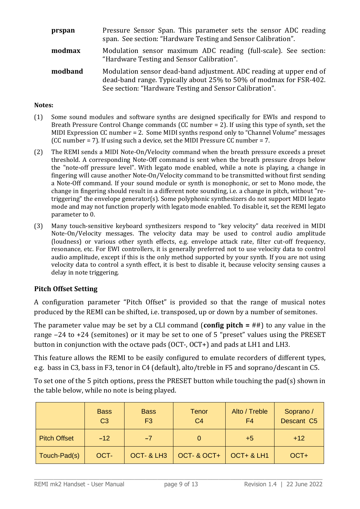| prspan  | Pressure Sensor Span. This parameter sets the sensor ADC reading<br>span. See section: "Hardware Testing and Sensor Calibration".                                                                    |
|---------|------------------------------------------------------------------------------------------------------------------------------------------------------------------------------------------------------|
| modmax  | Modulation sensor maximum ADC reading (full-scale). See section:<br>"Hardware Testing and Sensor Calibration".                                                                                       |
| modband | Modulation sensor dead-band adjustment. ADC reading at upper end of<br>dead-band range. Typically about 25% to 50% of modmax for FSR-402.<br>See section: "Hardware Testing and Sensor Calibration". |

#### **Notes:**

- (1) Some sound modules and software synths are designed specifically for EWIs and respond to Breath Pressure Control Change commands (CC number = 2). If using this type of synth, set the MIDI Expression CC number = 2. Some MIDI synths respond only to "Channel Volume" messages (CC number = 7). If using such a device, set the MIDI Pressure CC number = 7.
- (2) The REMI sends a MIDI Note-On/Velocity command when the breath pressure exceeds a preset threshold. A corresponding Note-Off command is sent when the breath pressure drops below the "note-off pressure level". With legato mode enabled, while a note is playing, a change in fingering will cause another Note-On/Velocity command to be transmitted without first sending a Note-Off command. If your sound module or synth is monophonic, or set to Mono mode, the change in fingering should result in a different note sounding, i.e. a change in pitch, without "retriggering" the envelope generator(s). Some polyphonic synthesizers do not support MIDI legato mode and may not function properly with legato mode enabled. To disable it, set the REMI legato parameter to 0.
- (3) Many touch-sensitive keyboard synthesizers respond to "key velocity" data received in MIDI Note-On/Velocity messages. The velocity data may be used to control audio amplitude (loudness) or various other synth effects, e.g. envelope attack rate, filter cut-off frequency, resonance, etc. For EWI controllers, it is generally preferred not to use velocity data to control audio amplitude, except if this is the only method supported by your synth. If you are not using velocity data to control a synth effect, it is best to disable it, because velocity sensing causes a delay in note triggering.

#### **Pitch Offset Setting**

A configuration parameter "Pitch Offset" is provided so that the range of musical notes produced by the REMI can be shifted, i.e. transposed, up or down by a number of semitones.

The parameter value may be set by a CLI command (**config pitch =** ##) to any value in the range  $-24$  to  $+24$  (semitones) or it may be set to one of 5 "preset" values using the PRESET button in conjunction with the octave pads (OCT-, OCT+) and pads at LH1 and LH3.

This feature allows the REMI to be easily configured to emulate recorders of different types, e.g. bass in C3, bass in F3, tenor in C4 (default), alto/treble in F5 and soprano/descant in C5.

To set one of the 5 pitch options, press the PRESET button while touching the pad(s) shown in the table below, while no note is being played.

|                     | <b>Bass</b><br>C <sub>3</sub> | <b>Bass</b><br>F <sub>3</sub> | <b>Tenor</b><br>C <sub>4</sub> | Alto / Treble<br>F4 | Soprano /<br>Descant C5 |
|---------------------|-------------------------------|-------------------------------|--------------------------------|---------------------|-------------------------|
| <b>Pitch Offset</b> | $-12$                         | $-7$                          |                                | $+5$                | $+12$                   |
| Touch-Pad(s)        | OCT-                          | OCT- & LH3                    | OCT- & OCT+                    | OCT+ & LH1          | OCT+                    |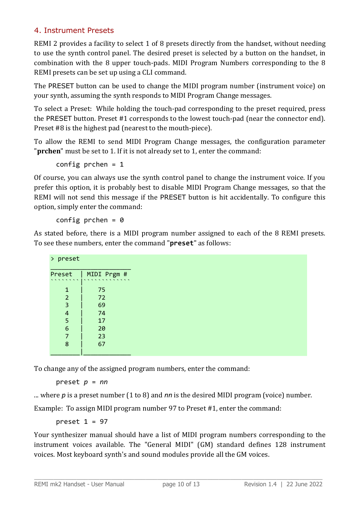# 4. Instrument Presets

REMI 2 provides a facility to select 1 of 8 presets directly from the handset, without needing to use the synth control panel. The desired preset is selected by a button on the handset, in combination with the 8 upper touch-pads. MIDI Program Numbers corresponding to the 8 REMI presets can be set up using a CLI command.

The PRESET button can be used to change the MIDI program number (instrument voice) on your synth, assuming the synth responds to MIDI Program Change messages.

To select a Preset: While holding the touch-pad corresponding to the preset required, press the PRESET button. Preset #1 corresponds to the lowest touch-pad (near the connector end). Preset #8 is the highest pad (nearest to the mouth-piece).

To allow the REMI to send MIDI Program Change messages, the configuration parameter "**prchen**" must be set to 1. If it is not already set to 1, enter the command:

config prchen  $= 1$ 

Of course, you can always use the synth control panel to change the instrument voice. If you prefer this option, it is probably best to disable MIDI Program Change messages, so that the REMI will not send this message if the PRESET button is hit accidentally. To configure this option, simply enter the command:

config prchen =  $0$ 

As stated before, there is a MIDI program number assigned to each of the 8 REMI presets. To see these numbers, enter the command "**preset**" as follows:

| > preset |             |
|----------|-------------|
| Preset   | MIDI Prgm # |
|          | 75          |
| ົ        | 72          |
| 3        | 69          |
| 4        | 74          |
| 5        | 17          |
| 6        | 20          |
|          | 23          |
| 8        | 67          |
|          |             |

To change any of the assigned program numbers, enter the command:

preset *p* = *nn*

... where *p* is a preset number (1 to 8) and *nn* is the desired MIDI program (voice) number.

Example: To assign MIDI program number 97 to Preset #1, enter the command:

preset  $1 = 97$ 

Your synthesizer manual should have a list of MIDI program numbers corresponding to the instrument voices available. The "General MIDI" (GM) standard defines 128 instrument voices. Most keyboard synth's and sound modules provide all the GM voices.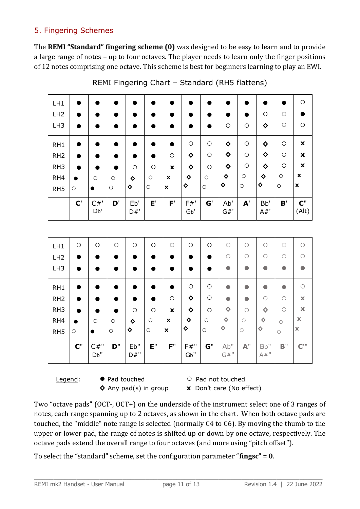# 5. Fingering Schemes

The **REMI "Standard" fingering scheme (0)** was designed to be easy to learn and to provide a large range of notes – up to four octaves. The player needs to learn only the finger positions of 12 notes comprising one octave. This scheme is best for beginners learning to play an EWI.

| LH1             |                       |           |         |            |         |                           |                            |         |               |            |                         |         | $\circ$                 |
|-----------------|-----------------------|-----------|---------|------------|---------|---------------------------|----------------------------|---------|---------------|------------|-------------------------|---------|-------------------------|
| LH2             |                       |           |         |            |         |                           |                            |         |               |            | $\circ$                 | O       |                         |
| LH <sub>3</sub> |                       |           | ٠       |            |         |                           |                            |         | $\circ$       | $\circ$    | ♦                       | $\circ$ | O                       |
| RH <sub>1</sub> |                       |           |         |            |         |                           | $\circ$                    | $\circ$ | ♦             | $\bigcirc$ | ♦                       | $\circ$ | $\pmb{\mathsf{x}}$      |
| RH <sub>2</sub> |                       |           | ٠       |            |         | $\circ$                   | ♦                          | $\circ$ | ♦             | $\circ$    | ♦                       | $\circ$ | $\pmb{\mathsf{x}}$      |
| RH <sub>3</sub> |                       |           |         | $\circ$    | $\circ$ | $\boldsymbol{\mathsf{X}}$ | ♦                          | $\circ$ | ♦             | $\bigcirc$ | ♦                       | $\circ$ | $\pmb{\mathsf{x}}$      |
| RH4             |                       | $\circ$   | $\circ$ | ♦          | $\circ$ | $\mathbf x$               | ♦                          | $\circ$ | ♦             | $\circ$    | ♦                       | $\circ$ | $\pmb{\mathsf{x}}$      |
| RH <sub>5</sub> | $\circ$               | $\bullet$ | $\circ$ | ♦          | $\circ$ | $\boldsymbol{\mathsf{x}}$ | ♦                          | $\circ$ | ♦             | $\circ$    | ♦                       | $\circ$ | $\pmb{\mathsf{x}}$      |
|                 | $\mathbf{C}^{\prime}$ | C#<br>Db' | D'      | Eb'<br>D#' | E'      | F'                        | $F#$ '<br>G <sub>b</sub> ' | G'      | Ab'<br>$G#$ ' | ${\bf A}'$ | B <sub>b</sub> '<br>A#' | B'      | $\mathbf{C}$ "<br>(Alt) |

REMI Fingering Chart – Standard (RH5 flattens)

| $\circ$ | $\circ$     | O       | $\circ$     | $\circ$    | $\circ$                   | $\circ$     | $\circ$ | $\circ$                              | $\bigcirc$                                | O           | C                  | O                       |
|---------|-------------|---------|-------------|------------|---------------------------|-------------|---------|--------------------------------------|-------------------------------------------|-------------|--------------------|-------------------------|
| ●       |             |         |             | $\bullet$  |                           |             | e       | $\bigcirc$                           | О                                         | $\bigcirc$  | O                  | ∩                       |
| ●       |             |         |             |            |                           |             | e       | $\bullet$                            |                                           |             |                    |                         |
| ●       |             |         |             |            |                           | $\circ$     | $\circ$ | $\bullet$                            |                                           |             | Ω                  | $\bigcirc$              |
| ●       |             |         |             | ●          | $\circ$                   | ♦           | $\circ$ | $\bullet$                            |                                           | $\bigcirc$  | $\bigcirc$         | $\mathbf x$             |
| ●       |             |         | $\circ$     | $\circ$    | $\boldsymbol{\mathsf{X}}$ | ♦           | $\circ$ | $\Diamond$                           | $\bigcirc$                                | $\Diamond$  | $\bigcap$          | $\mathbf x$             |
|         | $\circ$     | $\circ$ | ♦           | $\circ$    | $\boldsymbol{\mathsf{x}}$ | ♦           | $\circ$ | ♦                                    | $\circ$                                   | ♦           | $\circ$            | $\mathbf x$             |
| $\circ$ |             | $\circ$ | ♦           | $\bigcirc$ | X                         | ♦           | $\circ$ | ♦                                    | $\circ$                                   | ♦           | $\circ$            | $\overline{\mathbf{x}}$ |
| $C$ "   | C#''<br>Db" | D''     | Eb"<br>D#'' | E''        | F''                       | F#''<br>Gb" | $G^"$   | Ab''<br>$\mathsf{G}\#^{\mathsf{II}}$ | ${\mathbb A}^{\scriptscriptstyle \rm II}$ | Bb"<br>A#'' | $B^{\prime\prime}$ | $C^{\rm III}$           |
|         |             |         |             |            |                           |             |         |                                      |                                           |             |                    |                         |

Legend: ● Pad touched ○ Pad not touched **◊** Any pad(s) in group **x** Don't care (No effect)

Two "octave pads" (OCT-, OCT+) on the underside of the instrument select one of 3 ranges of notes, each range spanning up to 2 octaves, as shown in the chart. When both octave pads are touched, the "middle" note range is selected (normally C4 to C6). By moving the thumb to the upper or lower pad, the range of notes is shifted up or down by one octave, respectively. The octave pads extend the overall range to four octaves (and more using "pitch offset").

To select the "standard" scheme, set the configuration parameter "**fingsc**" = **0**.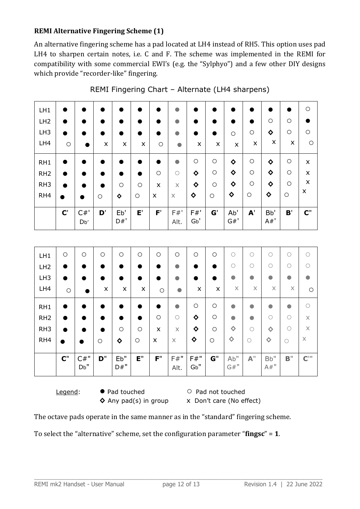# **REMI Alternative Fingering Scheme (1)**

An alternative fingering scheme has a pad located at LH4 instead of RH5. This option uses pad LH4 to sharpen certain notes, i.e. C and F. The scheme was implemented in the REMI for compatibility with some commercial EWI's (e.g. the "Sylphyo") and a few other DIY designs which provide "recorder-like" fingering.

| LH1             | $\qquad \qquad$       | ٠             |         |                |         |            | $\bullet$      |                         | 0              | ٠             | ٠          |            |                    | $\circ$                   |
|-----------------|-----------------------|---------------|---------|----------------|---------|------------|----------------|-------------------------|----------------|---------------|------------|------------|--------------------|---------------------------|
| LH <sub>2</sub> | ●                     | ٠             |         |                |         |            | $\bullet$      |                         | ●              | D             | ٠          | $\circ$    | О                  |                           |
| LH <sub>3</sub> | $\bullet$             |               |         |                |         | Ð          | $\bullet$      | $\bullet$               | $\bullet$      | $\circ$       | O          | ♦          | О                  | $\circ$                   |
| LH4             | $\circ$               |               | X       | $\pmb{\times}$ | X       | $\circ$    | $\bullet$      | X                       | $\pmb{\times}$ | X             | X          | X          | $\pmb{\mathsf{X}}$ | O                         |
| RH <sub>1</sub> |                       | D             |         |                |         | $\bullet$  | $\bullet$      | $\circ$                 | $\circ$        | ♦             | $\circ$    | ♦          | $\circ$            | X                         |
| RH <sub>2</sub> | $\bullet$             | ٠             |         |                |         | $\bigcirc$ | $\bigcirc$     | ♦                       | $\circ$        | ♦             | $\circ$    | ♦          | O                  | X                         |
| RH <sub>3</sub> | ●                     | D             |         | O              | $\circ$ | X          | X              | ♦                       | $\circ$        | ♦             | $\circ$    | ♦          | $\circ$            | X                         |
| RH4             | $\bullet$             | $\bullet$     | $\circ$ | ♦              | $\circ$ | X          | $\times$       | ♦                       | $\bigcirc$     | ♦             | $\circ$    | ♦          | $\circ$            | $\boldsymbol{\mathsf{x}}$ |
|                 | $\mathbf{C}^{\prime}$ | $C#$ '<br>Db' | D'      | Eb'<br>D#'     | E'      | F'         | $F#$ '<br>Alt. | F#'<br>G <sub>b</sub> ' | G'             | Ab'<br>$G#$ ' | ${\bf A}'$ | Bb'<br>A#' | B'                 | $\mathbf{C}$ "            |

REMI Fingering Chart – Alternate (LH4 sharpens)

| LH1             | $\bigcirc$ | $\bigcirc$  | $\circ$ | O           | $\circ$   | $\circ$   | $\circ$      | $\circ$     | $\circ$   | $\bigcirc$            | ( )                             | C           | C          | $\bigcirc$              |
|-----------------|------------|-------------|---------|-------------|-----------|-----------|--------------|-------------|-----------|-----------------------|---------------------------------|-------------|------------|-------------------------|
| LH2             | $\bullet$  | $\bullet$   |         |             | Ð         | $\bullet$ | $\bullet$    | $\bullet$   | $\bullet$ | $\bigcirc$            | Ω                               | C           | $\bigcirc$ | $\bigcirc$              |
| LH <sub>3</sub> | ●          |             |         |             | D         | ●         | $\bullet$    | $\bullet$   | ●         | 0                     |                                 |             | $\bullet$  | $\bullet$               |
| LH4             | $\circ$    |             | X       | X           | X         | $\circ$   | $\bullet$    | X           | X         | $\boldsymbol{\times}$ | X                               | $\times$    | X          | $\circ$                 |
| RH <sub>1</sub> | $\bullet$  | $\bullet$   |         |             | $\bullet$ | $\bullet$ | $\bullet$    | $\circ$     | $\circ$   | $\bullet$             | $\bullet$                       | $\bullet$   | $\bullet$  | $\bigcirc$              |
| RH <sub>2</sub> | $\bullet$  |             |         |             | $\bullet$ | $\circ$   | $\bigcirc$   | ♦           | $\circ$   | $\bullet$             |                                 | $\bigcirc$  | $\bigcirc$ | $\mathsf X$             |
| RH <sub>3</sub> | $\bullet$  | $\bullet$   |         | $\circ$     | $\circ$   | X         | $\times$     | ♦           | $\circ$   | $\Diamond$            | $\bigcap$                       | $\Diamond$  | Ω          | $\mathsf X$             |
| RH4             | ●          | ●           | $\circ$ | ♦           | $\circ$   | X         | $\times$     | ♦           | $\circ$   | ♦                     | $\bigcirc$                      | ♦           | $\bigcirc$ | $\boldsymbol{\times}$   |
|                 |            |             |         |             |           |           |              |             |           |                       |                                 |             |            |                         |
|                 | $C$ "      | C#''<br>Db" | D''     | Eb"<br>D#'' | E''       | F''       | F#''<br>Alt. | F#''<br>Gb" | $G^"$     | Ab"<br>G#''           | $\mathbb{A}^{\text{\tiny{II}}}$ | Bb"<br>A#'' | B''        | $\mathbb{C}^{\text{m}}$ |

Legend: ● Pad touched ○ Pad not touched

◆ Any pad(s) in group x Don't care (No effect)

The octave pads operate in the same manner as in the "standard" fingering scheme.

To select the "alternative" scheme, set the configuration parameter "**fingsc**" = **1**.